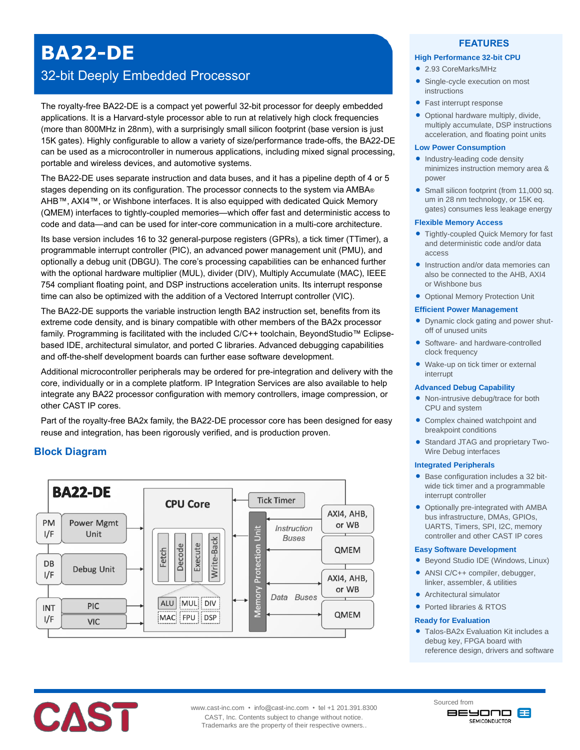# **BA22-DE**

## 32-bit Deeply Embedded Processor

The royalty-free BA22-DE is a compact yet powerful 32-bit processor for deeply embedded applications. It is a Harvard-style processor able to run at relatively high clock frequencies (more than 800MHz in 28nm), with a surprisingly small silicon footprint (base version is just 15K gates). Highly configurable to allow a variety of size/performance trade-offs, the BA22-DE can be used as a microcontroller in numerous applications, including mixed signal processing, portable and wireless devices, and automotive systems.

The BA22-DE uses separate instruction and data buses, and it has a pipeline depth of 4 or 5 stages depending on its configuration. The processor connects to the system via AMBA<sup>®</sup> AHB™, AXI4™, or Wishbone interfaces. It is also equipped with dedicated Quick Memory (QMEM) interfaces to tightly-coupled memories—which offer fast and deterministic access to code and data—and can be used for inter-core communication in a multi-core architecture.

Its base version includes 16 to 32 general-purpose registers (GPRs), a tick timer (TTimer), a programmable interrupt controller (PIC), an advanced power management unit (PMU), and optionally a debug unit (DBGU). The core's processing capabilities can be enhanced further with the optional hardware multiplier (MUL), divider (DIV), Multiply Accumulate (MAC), IEEE 754 compliant floating point, and DSP instructions acceleration units. Its interrupt response time can also be optimized with the addition of a Vectored Interrupt controller (VIC).

The BA22-DE supports the variable instruction length BA2 instruction set, benefits from its extreme code density, and is binary compatible with other members of the BA2x processor family. Programming is facilitated with the included C/C++ toolchain, BeyondStudio™ Eclipsebased IDE, architectural simulator, and ported C libraries. Advanced debugging capabilities and off-the-shelf development boards can further ease software development.

Additional microcontroller peripherals may be ordered for pre-integration and delivery with the core, individually or in a complete platform. IP Integration Services are also available to help integrate any BA22 processor configuration with memory controllers, image compression, or other CAST IP cores.

Part of the royalty-free BA2x family, the BA22-DE processor core has been designed for easy reuse and integration, has been rigorously verified, and is production proven.

## **Block Diagram**



## **FEATURES**

#### **High Performance 32-bit CPU**

- 2.93 CoreMarks/MHz
- Single-cycle execution on most instructions
- Fast interrupt response
- Optional hardware multiply, divide, multiply accumulate, DSP instructions acceleration, and floating point units

#### **Low Power Consumption**

- Industry-leading code density minimizes instruction memory area & power
- Small silicon footprint (from 11,000 sq. um in 28 nm technology, or 15K eq. gates) consumes less leakage energy

#### **Flexible Memory Access**

- Tightly-coupled Quick Memory for fast and deterministic code and/or data access
- Instruction and/or data memories can also be connected to the AHB, AXI4 or Wishbone bus
- Optional Memory Protection Unit

#### **Efficient Power Management**

- Dynamic clock gating and power shutoff of unused units
- Software- and hardware-controlled clock frequency
- Wake-up on tick timer or external interrupt

#### **Advanced Debug Capability**

- Non-intrusive debug/trace for both CPU and system
- Complex chained watchpoint and breakpoint conditions
- Standard JTAG and proprietary Two-Wire Debug interfaces

#### **Integrated Peripherals**

- Base configuration includes a 32 bitwide tick timer and a programmable interrupt controller
- Optionally pre-integrated with AMBA bus infrastructure, DMAs, GPIOs, UARTS, Timers, SPI, I2C, memory controller and other CAST IP cores

#### **Easy Software Development**

- Beyond Studio IDE (Windows, Linux)
- ANSI C/C++ compiler, debugger, linker, assembler, & utilities
- Architectural simulator
- Ported libraries & RTOS

#### **Ready for Evaluation**

 Talos-BA2x Evaluation Kit includes a debug key, FPGA board with reference design, drivers and software